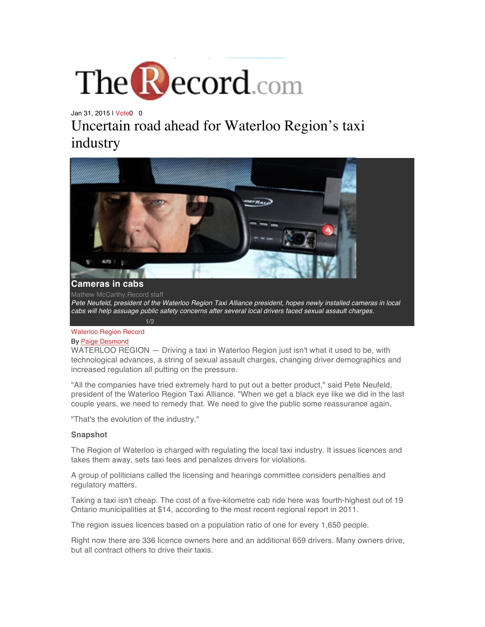

Jan 31, 2015 | Vote0 0 Uncertain road ahead for Waterloo Region's taxi industry



*Pete Neufeld, president of the Waterloo Region Taxi Alliance president, hopes newly installed cameras in local cabs will help assuage public safety concerns after several local drivers faced sexual assault charges.*

# Waterloo Region Record

#### By Paige Desmond

WATERLOO REGION — Driving a taxi in Waterloo Region just isn't what it used to be, with technological advances, a string of sexual assault charges, changing driver demographics and increased regulation all putting on the pressure.

"All the companies have tried extremely hard to put out a better product," said Pete Neufeld, president of the Waterloo Region Taxi Alliance. "When we get a black eye like we did in the last couple years, we need to remedy that. We need to give the public some reassurance again.

"That's the evolution of the industry."

#### **Snapshot**

The Region of Waterloo is charged with regulating the local taxi industry. It issues licences and takes them away, sets taxi fees and penalizes drivers for violations.

A group of politicians called the licensing and hearings committee considers penalties and regulatory matters.

Taking a taxi isn't cheap. The cost of a five-kilometre cab ride here was fourth-highest out of 19 Ontario municipalities at \$14, according to the most recent regional report in 2011.

The region issues licences based on a population ratio of one for every 1,650 people.

Right now there are 336 licence owners here and an additional 659 drivers. Many owners drive, but all contract others to drive their taxis.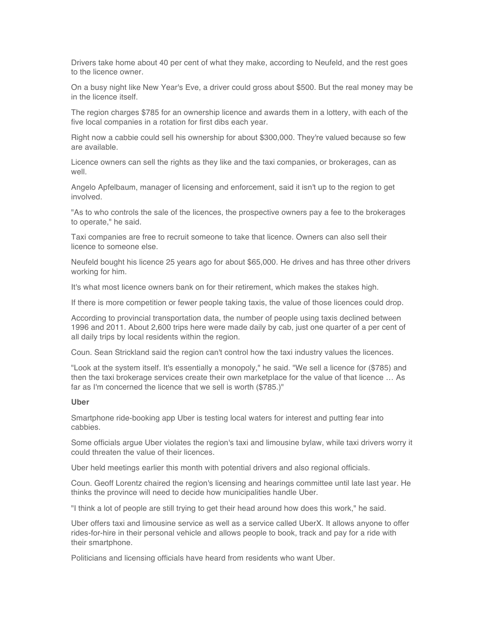Drivers take home about 40 per cent of what they make, according to Neufeld, and the rest goes to the licence owner.

On a busy night like New Year's Eve, a driver could gross about \$500. But the real money may be in the licence itself.

The region charges \$785 for an ownership licence and awards them in a lottery, with each of the five local companies in a rotation for first dibs each year.

Right now a cabbie could sell his ownership for about \$300,000. They're valued because so few are available.

Licence owners can sell the rights as they like and the taxi companies, or brokerages, can as well.

Angelo Apfelbaum, manager of licensing and enforcement, said it isn't up to the region to get involved.

"As to who controls the sale of the licences, the prospective owners pay a fee to the brokerages to operate," he said.

Taxi companies are free to recruit someone to take that licence. Owners can also sell their licence to someone else.

Neufeld bought his licence 25 years ago for about \$65,000. He drives and has three other drivers working for him.

It's what most licence owners bank on for their retirement, which makes the stakes high.

If there is more competition or fewer people taking taxis, the value of those licences could drop.

According to provincial transportation data, the number of people using taxis declined between 1996 and 2011. About 2,600 trips here were made daily by cab, just one quarter of a per cent of all daily trips by local residents within the region.

Coun. Sean Strickland said the region can't control how the taxi industry values the licences.

"Look at the system itself. It's essentially a monopoly," he said. "We sell a licence for (\$785) and then the taxi brokerage services create their own marketplace for the value of that licence … As far as I'm concerned the licence that we sell is worth (\$785.)"

# **Uber**

Smartphone ride-booking app Uber is testing local waters for interest and putting fear into cabbies.

Some officials argue Uber violates the region's taxi and limousine bylaw, while taxi drivers worry it could threaten the value of their licences.

Uber held meetings earlier this month with potential drivers and also regional officials.

Coun. Geoff Lorentz chaired the region's licensing and hearings committee until late last year. He thinks the province will need to decide how municipalities handle Uber.

"I think a lot of people are still trying to get their head around how does this work," he said.

Uber offers taxi and limousine service as well as a service called UberX. It allows anyone to offer rides-for-hire in their personal vehicle and allows people to book, track and pay for a ride with their smartphone.

Politicians and licensing officials have heard from residents who want Uber.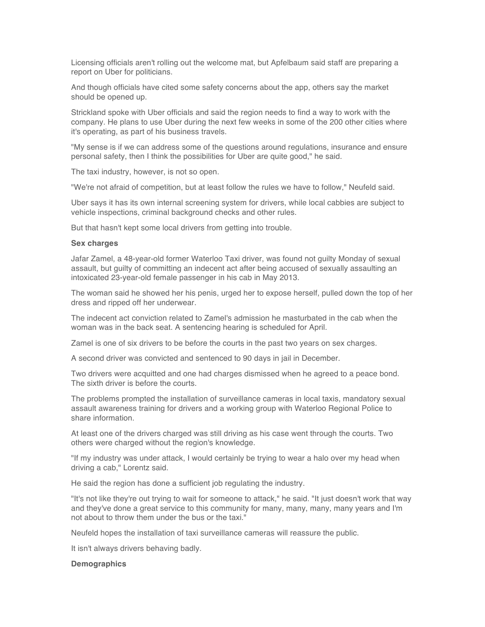Licensing officials aren't rolling out the welcome mat, but Apfelbaum said staff are preparing a report on Uber for politicians.

And though officials have cited some safety concerns about the app, others say the market should be opened up.

Strickland spoke with Uber officials and said the region needs to find a way to work with the company. He plans to use Uber during the next few weeks in some of the 200 other cities where it's operating, as part of his business travels.

"My sense is if we can address some of the questions around regulations, insurance and ensure personal safety, then I think the possibilities for Uber are quite good," he said.

The taxi industry, however, is not so open.

"We're not afraid of competition, but at least follow the rules we have to follow," Neufeld said.

Uber says it has its own internal screening system for drivers, while local cabbies are subject to vehicle inspections, criminal background checks and other rules.

But that hasn't kept some local drivers from getting into trouble.

# **Sex charges**

Jafar Zamel, a 48-year-old former Waterloo Taxi driver, was found not guilty Monday of sexual assault, but guilty of committing an indecent act after being accused of sexually assaulting an intoxicated 23-year-old female passenger in his cab in May 2013.

The woman said he showed her his penis, urged her to expose herself, pulled down the top of her dress and ripped off her underwear.

The indecent act conviction related to Zamel's admission he masturbated in the cab when the woman was in the back seat. A sentencing hearing is scheduled for April.

Zamel is one of six drivers to be before the courts in the past two years on sex charges.

A second driver was convicted and sentenced to 90 days in jail in December.

Two drivers were acquitted and one had charges dismissed when he agreed to a peace bond. The sixth driver is before the courts.

The problems prompted the installation of surveillance cameras in local taxis, mandatory sexual assault awareness training for drivers and a working group with Waterloo Regional Police to share information.

At least one of the drivers charged was still driving as his case went through the courts. Two others were charged without the region's knowledge.

"If my industry was under attack, I would certainly be trying to wear a halo over my head when driving a cab," Lorentz said.

He said the region has done a sufficient job regulating the industry.

"It's not like they're out trying to wait for someone to attack," he said. "It just doesn't work that way and they've done a great service to this community for many, many, many, many years and I'm not about to throw them under the bus or the taxi."

Neufeld hopes the installation of taxi surveillance cameras will reassure the public.

It isn't always drivers behaving badly.

#### **Demographics**